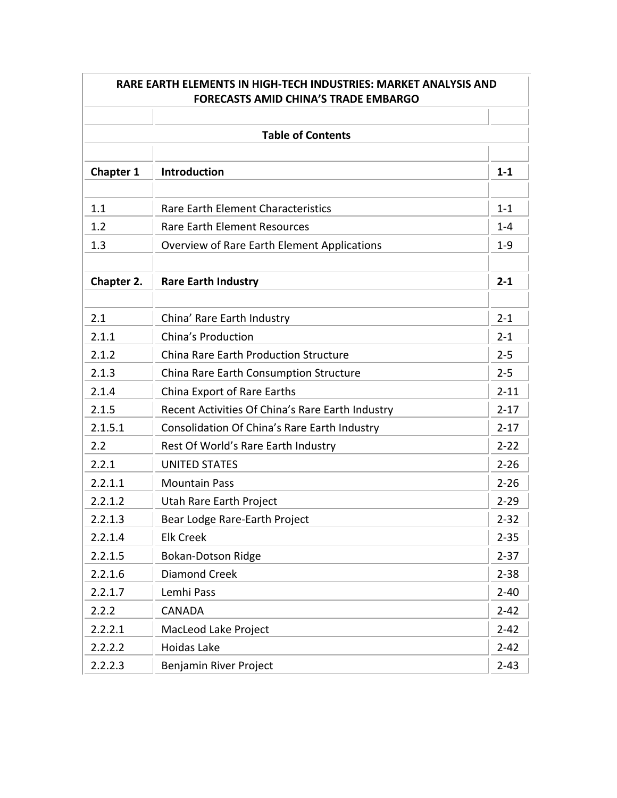|                  | RARE EARTH ELEMENTS IN HIGH-TECH INDUSTRIES: MARKET ANALYSIS AND<br><b>FORECASTS AMID CHINA'S TRADE EMBARGO</b> |          |
|------------------|-----------------------------------------------------------------------------------------------------------------|----------|
|                  |                                                                                                                 |          |
|                  | <b>Table of Contents</b>                                                                                        |          |
| <b>Chapter 1</b> | <b>Introduction</b>                                                                                             | $1 - 1$  |
| 1.1              | <b>Rare Earth Element Characteristics</b>                                                                       | $1 - 1$  |
| 1.2              | <b>Rare Earth Element Resources</b>                                                                             | $1 - 4$  |
| 1.3              | <b>Overview of Rare Earth Element Applications</b>                                                              | $1-9$    |
| Chapter 2.       | <b>Rare Earth Industry</b>                                                                                      | $2 - 1$  |
| 2.1              | China' Rare Earth Industry                                                                                      | $2 - 1$  |
| 2.1.1            | China's Production                                                                                              | $2 - 1$  |
| 2.1.2            | <b>China Rare Earth Production Structure</b>                                                                    | $2 - 5$  |
| 2.1.3            | China Rare Earth Consumption Structure                                                                          | $2 - 5$  |
| 2.1.4            | China Export of Rare Earths                                                                                     | $2 - 11$ |
| 2.1.5            | Recent Activities Of China's Rare Earth Industry                                                                | $2 - 17$ |
| 2.1.5.1          | Consolidation Of China's Rare Earth Industry                                                                    | $2 - 17$ |
| 2.2              | Rest Of World's Rare Earth Industry                                                                             | $2 - 22$ |
| 2.2.1            | <b>UNITED STATES</b>                                                                                            | $2 - 26$ |
| 2.2.1.1          | <b>Mountain Pass</b>                                                                                            | $2 - 26$ |
| 2.2.1.2          | Utah Rare Earth Project                                                                                         | $2 - 29$ |
| 2.2.1.3          | Bear Lodge Rare-Earth Project                                                                                   | $2 - 32$ |
| 2.2.1.4          | <b>Elk Creek</b>                                                                                                | $2 - 35$ |
| 2.2.1.5          | <b>Bokan-Dotson Ridge</b>                                                                                       | $2 - 37$ |
| 2.2.1.6          | <b>Diamond Creek</b>                                                                                            | $2 - 38$ |
| 2.2.1.7          | Lemhi Pass                                                                                                      | $2 - 40$ |
| 2.2.2            | <b>CANADA</b>                                                                                                   | $2 - 42$ |
| 2.2.2.1          | <b>MacLeod Lake Project</b>                                                                                     | $2 - 42$ |
| 2.2.2.2          | Hoidas Lake                                                                                                     | $2 - 42$ |
| 2.2.2.3          | Benjamin River Project                                                                                          | $2 - 43$ |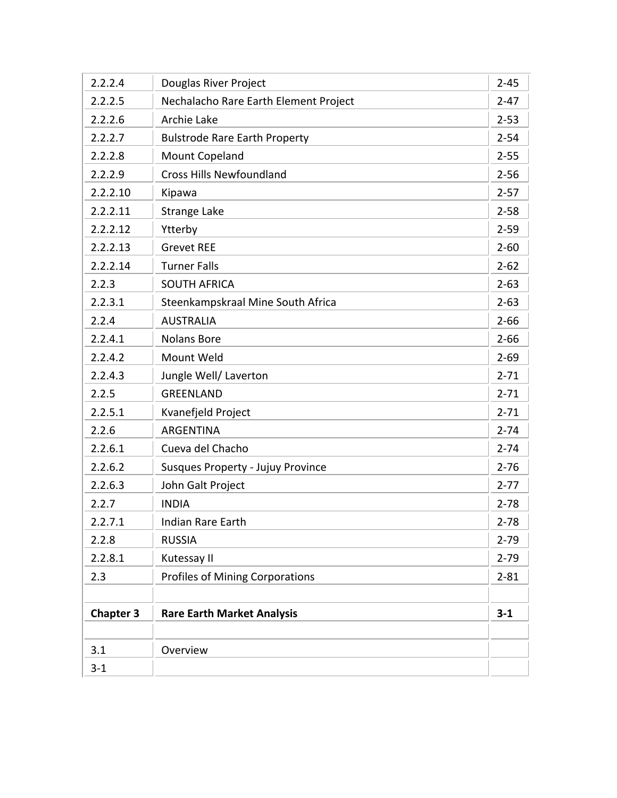| 2.2.2.4          | Douglas River Project                    | $2 - 45$ |
|------------------|------------------------------------------|----------|
| 2.2.2.5          | Nechalacho Rare Earth Element Project    | $2 - 47$ |
| 2.2.2.6          | Archie Lake                              | $2 - 53$ |
| 2.2.2.7          | <b>Bulstrode Rare Earth Property</b>     | $2 - 54$ |
| 2.2.2.8          | <b>Mount Copeland</b>                    | $2 - 55$ |
| 2.2.2.9          | <b>Cross Hills Newfoundland</b>          | $2 - 56$ |
| 2.2.2.10         | Kipawa                                   | $2 - 57$ |
| 2.2.2.11         | <b>Strange Lake</b>                      | $2 - 58$ |
| 2.2.2.12         | Ytterby                                  | $2 - 59$ |
| 2.2.2.13         | <b>Grevet REE</b>                        | $2 - 60$ |
| 2.2.2.14         | <b>Turner Falls</b>                      | $2 - 62$ |
| 2.2.3            | <b>SOUTH AFRICA</b>                      | $2 - 63$ |
| 2.2.3.1          | Steenkampskraal Mine South Africa        | $2 - 63$ |
| 2.2.4            | <b>AUSTRALIA</b>                         | $2 - 66$ |
| 2.2.4.1          | <b>Nolans Bore</b>                       | $2 - 66$ |
| 2.2.4.2          | Mount Weld                               | $2 - 69$ |
| 2.2.4.3          | Jungle Well/ Laverton                    | $2 - 71$ |
| 2.2.5            | <b>GREENLAND</b>                         | $2 - 71$ |
| 2.2.5.1          | Kvanefjeld Project                       | $2 - 71$ |
| 2.2.6            | <b>ARGENTINA</b>                         | $2 - 74$ |
| 2.2.6.1          | Cueva del Chacho                         | $2 - 74$ |
| 2.2.6.2          | <b>Susques Property - Jujuy Province</b> | $2 - 76$ |
| 2.2.6.3          | John Galt Project                        | $2 - 77$ |
| 2.2.7            | <b>INDIA</b>                             | $2 - 78$ |
| 2.2.7.1          | Indian Rare Earth                        | $2 - 78$ |
| 2.2.8            | <b>RUSSIA</b>                            | $2 - 79$ |
| 2.2.8.1          | Kutessay II                              | $2 - 79$ |
| 2.3              | <b>Profiles of Mining Corporations</b>   | $2 - 81$ |
|                  |                                          |          |
| <b>Chapter 3</b> | <b>Rare Earth Market Analysis</b>        | $3-1$    |
|                  |                                          |          |
| 3.1              | Overview                                 |          |
| $3 - 1$          |                                          |          |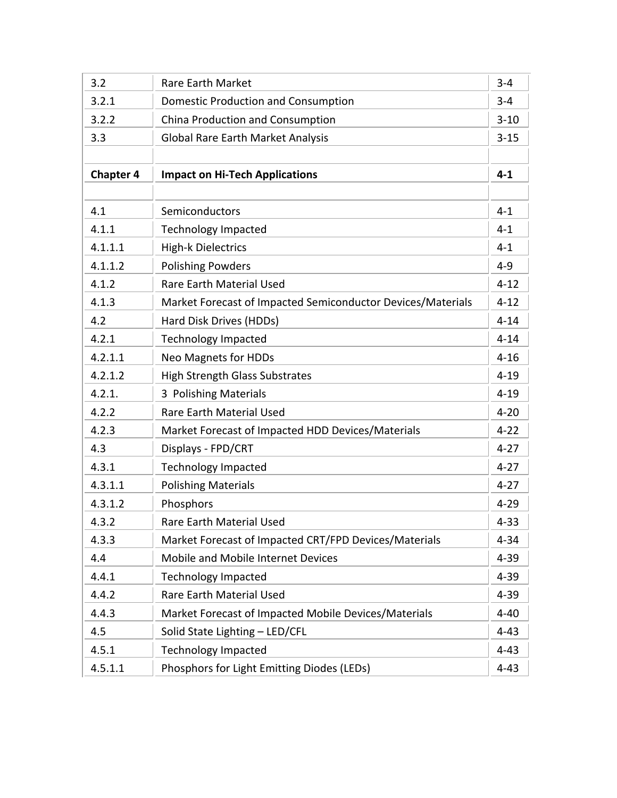| 3.2              | <b>Rare Earth Market</b>                                    | $3 - 4$  |
|------------------|-------------------------------------------------------------|----------|
| 3.2.1            | <b>Domestic Production and Consumption</b>                  | $3 - 4$  |
| 3.2.2            | China Production and Consumption                            | $3 - 10$ |
| 3.3              | <b>Global Rare Earth Market Analysis</b>                    | $3 - 15$ |
|                  |                                                             |          |
| <b>Chapter 4</b> | <b>Impact on Hi-Tech Applications</b>                       | $4 - 1$  |
|                  |                                                             |          |
| 4.1              | Semiconductors                                              | $4 - 1$  |
| 4.1.1            | <b>Technology Impacted</b>                                  | $4 - 1$  |
| 4.1.1.1          | <b>High-k Dielectrics</b>                                   | $4 - 1$  |
| 4.1.1.2          | <b>Polishing Powders</b>                                    | $4 - 9$  |
| 4.1.2            | <b>Rare Earth Material Used</b>                             | $4 - 12$ |
| 4.1.3            | Market Forecast of Impacted Semiconductor Devices/Materials | $4 - 12$ |
| 4.2              | Hard Disk Drives (HDDs)                                     | $4 - 14$ |
| 4.2.1            | <b>Technology Impacted</b>                                  | $4 - 14$ |
| 4.2.1.1          | <b>Neo Magnets for HDDs</b>                                 | $4 - 16$ |
| 4.2.1.2          | <b>High Strength Glass Substrates</b>                       | $4 - 19$ |
| 4.2.1.           | 3 Polishing Materials                                       | $4 - 19$ |
| 4.2.2            | Rare Earth Material Used                                    | $4 - 20$ |
| 4.2.3            | Market Forecast of Impacted HDD Devices/Materials           | $4 - 22$ |
| 4.3              | Displays - FPD/CRT                                          | $4 - 27$ |
| 4.3.1            | <b>Technology Impacted</b>                                  | $4 - 27$ |
| 4.3.1.1          | <b>Polishing Materials</b>                                  | $4 - 27$ |
| 4.3.1.2          | Phosphors                                                   | $4 - 29$ |
| 4.3.2            | <b>Rare Earth Material Used</b>                             | $4 - 33$ |
| 4.3.3            | Market Forecast of Impacted CRT/FPD Devices/Materials       | $4 - 34$ |
| 4.4              | Mobile and Mobile Internet Devices                          | $4 - 39$ |
| 4.4.1            | <b>Technology Impacted</b>                                  | $4 - 39$ |
| 4.4.2            | Rare Earth Material Used                                    | $4 - 39$ |
| 4.4.3            | Market Forecast of Impacted Mobile Devices/Materials        | $4 - 40$ |
| 4.5              | Solid State Lighting - LED/CFL                              | $4 - 43$ |
| 4.5.1            | <b>Technology Impacted</b>                                  | $4 - 43$ |
| 4.5.1.1          | Phosphors for Light Emitting Diodes (LEDs)                  | $4 - 43$ |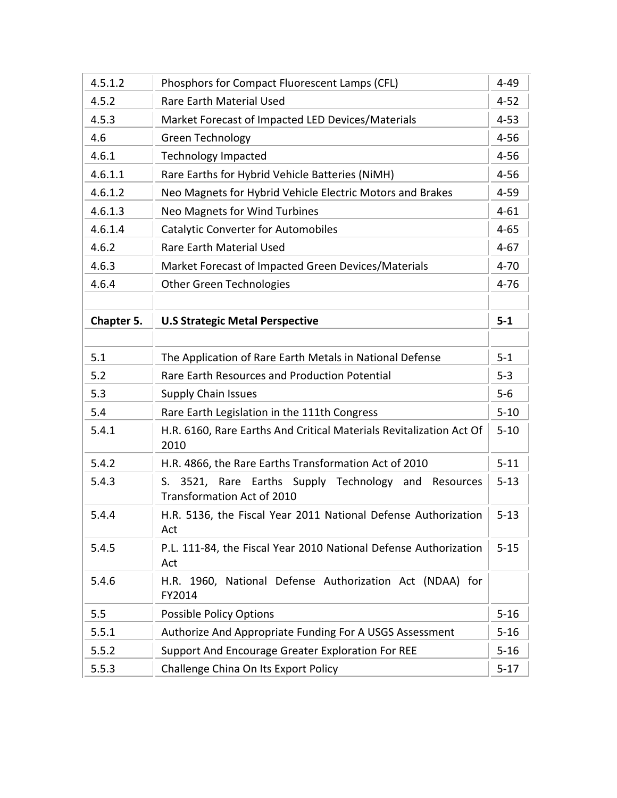| 4.5.1.2    | Phosphors for Compact Fluorescent Lamps (CFL)                                                | $4 - 49$ |
|------------|----------------------------------------------------------------------------------------------|----------|
| 4.5.2      | Rare Earth Material Used                                                                     | $4 - 52$ |
| 4.5.3      | Market Forecast of Impacted LED Devices/Materials                                            | $4 - 53$ |
| 4.6        | Green Technology                                                                             | $4 - 56$ |
| 4.6.1      | <b>Technology Impacted</b>                                                                   | $4 - 56$ |
| 4.6.1.1    | Rare Earths for Hybrid Vehicle Batteries (NiMH)                                              | $4 - 56$ |
| 4.6.1.2    | Neo Magnets for Hybrid Vehicle Electric Motors and Brakes                                    | $4 - 59$ |
| 4.6.1.3    | <b>Neo Magnets for Wind Turbines</b>                                                         | $4 - 61$ |
| 4.6.1.4    | <b>Catalytic Converter for Automobiles</b>                                                   | $4 - 65$ |
| 4.6.2      | <b>Rare Earth Material Used</b>                                                              | $4 - 67$ |
| 4.6.3      | Market Forecast of Impacted Green Devices/Materials                                          | $4 - 70$ |
| 4.6.4      | <b>Other Green Technologies</b>                                                              | $4 - 76$ |
|            |                                                                                              |          |
| Chapter 5. | <b>U.S Strategic Metal Perspective</b>                                                       | $5-1$    |
|            |                                                                                              |          |
| 5.1        | The Application of Rare Earth Metals in National Defense                                     | $5 - 1$  |
| 5.2        | Rare Earth Resources and Production Potential                                                | $5-3$    |
| 5.3        | <b>Supply Chain Issues</b>                                                                   | $5-6$    |
| 5.4        | Rare Earth Legislation in the 111th Congress                                                 | $5 - 10$ |
| 5.4.1      | H.R. 6160, Rare Earths And Critical Materials Revitalization Act Of<br>2010                  | $5 - 10$ |
| 5.4.2      | H.R. 4866, the Rare Earths Transformation Act of 2010                                        | $5 - 11$ |
| 5.4.3      | 3521, Rare Earths Supply Technology and Resources<br>S.<br><b>Transformation Act of 2010</b> | $5 - 13$ |
| 5.4.4      | H.R. 5136, the Fiscal Year 2011 National Defense Authorization<br>Act                        | $5 - 13$ |
| 5.4.5      | P.L. 111-84, the Fiscal Year 2010 National Defense Authorization<br>Act                      | $5 - 15$ |
| 5.4.6      | H.R. 1960, National Defense Authorization Act (NDAA) for<br>FY2014                           |          |
| 5.5        | <b>Possible Policy Options</b>                                                               | $5 - 16$ |
| 5.5.1      | Authorize And Appropriate Funding For A USGS Assessment                                      | $5 - 16$ |
| 5.5.2      | Support And Encourage Greater Exploration For REE                                            | $5 - 16$ |
| 5.5.3      | Challenge China On Its Export Policy                                                         | $5 - 17$ |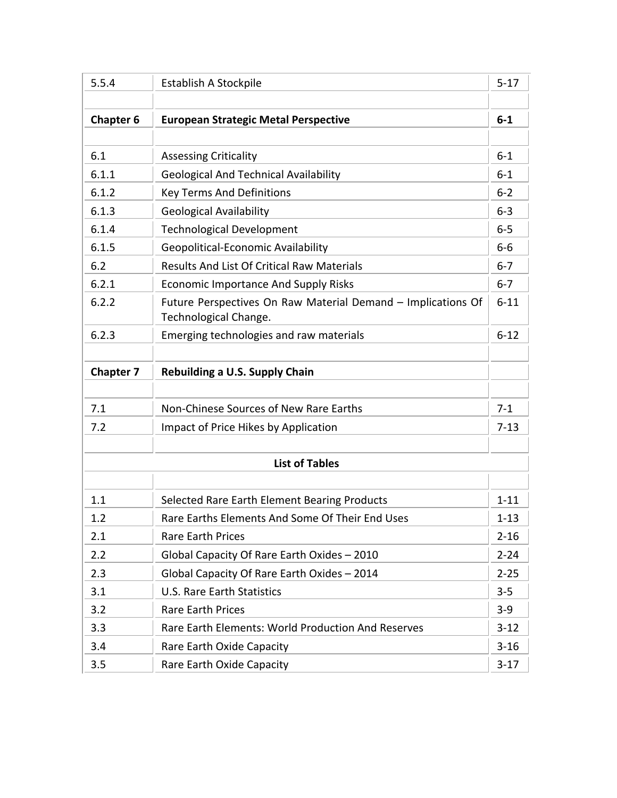| 5.5.4            | Establish A Stockpile                                                                 | $5 - 17$ |
|------------------|---------------------------------------------------------------------------------------|----------|
|                  |                                                                                       |          |
| <b>Chapter 6</b> | <b>European Strategic Metal Perspective</b>                                           | $6-1$    |
|                  |                                                                                       |          |
| 6.1              | <b>Assessing Criticality</b>                                                          | $6-1$    |
| 6.1.1            | <b>Geological And Technical Availability</b>                                          | $6-1$    |
| 6.1.2            | <b>Key Terms And Definitions</b>                                                      | $6 - 2$  |
| 6.1.3            | <b>Geological Availability</b>                                                        | $6 - 3$  |
| 6.1.4            | <b>Technological Development</b>                                                      | $6-5$    |
| 6.1.5            | Geopolitical-Economic Availability                                                    | $6-6$    |
| 6.2              | <b>Results And List Of Critical Raw Materials</b>                                     | $6 - 7$  |
| 6.2.1            | <b>Economic Importance And Supply Risks</b>                                           | $6 - 7$  |
| 6.2.2            | Future Perspectives On Raw Material Demand - Implications Of<br>Technological Change. | $6 - 11$ |
| 6.2.3            | Emerging technologies and raw materials                                               | $6 - 12$ |
|                  |                                                                                       |          |
| <b>Chapter 7</b> | <b>Rebuilding a U.S. Supply Chain</b>                                                 |          |
|                  |                                                                                       |          |
| 7.1              | Non-Chinese Sources of New Rare Earths                                                | $7 - 1$  |
| 7.2              | Impact of Price Hikes by Application                                                  | $7 - 13$ |
|                  |                                                                                       |          |
|                  | <b>List of Tables</b>                                                                 |          |
|                  |                                                                                       |          |
| 1.1              | Selected Rare Earth Element Bearing Products                                          | $1 - 11$ |
| 1.2              | Rare Earths Elements And Some Of Their End Uses                                       | $1 - 13$ |
| 2.1              | <b>Rare Earth Prices</b>                                                              | $2 - 16$ |
| 2.2              | Global Capacity Of Rare Earth Oxides - 2010                                           | $2 - 24$ |
| 2.3              | Global Capacity Of Rare Earth Oxides - 2014                                           | $2 - 25$ |
| 3.1              | <b>U.S. Rare Earth Statistics</b>                                                     | $3 - 5$  |
| 3.2              | <b>Rare Earth Prices</b>                                                              | $3-9$    |
| 3.3              | <b>Rare Earth Elements: World Production And Reserves</b>                             | $3 - 12$ |
| 3.4              | Rare Earth Oxide Capacity                                                             | $3 - 16$ |
| 3.5              | Rare Earth Oxide Capacity                                                             | $3-17$   |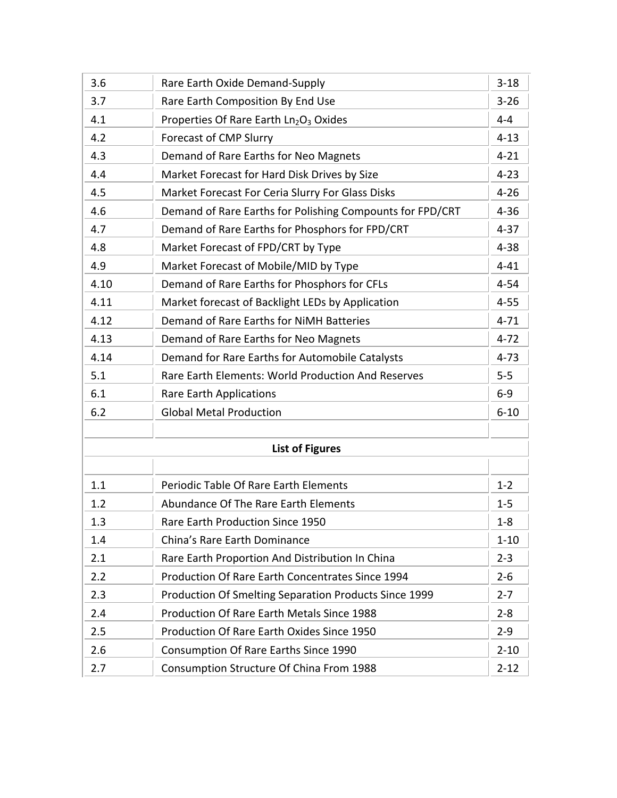| 3.6  | Rare Earth Oxide Demand-Supply                               | $3 - 18$ |
|------|--------------------------------------------------------------|----------|
| 3.7  | Rare Earth Composition By End Use                            | $3 - 26$ |
| 4.1  | Properties Of Rare Earth Ln2O3 Oxides                        | $4 - 4$  |
| 4.2  | <b>Forecast of CMP Slurry</b>                                | $4 - 13$ |
| 4.3  | Demand of Rare Earths for Neo Magnets                        | $4 - 21$ |
| 4.4  | Market Forecast for Hard Disk Drives by Size                 | $4 - 23$ |
| 4.5  | Market Forecast For Ceria Slurry For Glass Disks             | $4 - 26$ |
| 4.6  | Demand of Rare Earths for Polishing Compounts for FPD/CRT    | $4 - 36$ |
| 4.7  | Demand of Rare Earths for Phosphors for FPD/CRT              | $4 - 37$ |
| 4.8  | Market Forecast of FPD/CRT by Type                           | $4 - 38$ |
| 4.9  | Market Forecast of Mobile/MID by Type                        | $4 - 41$ |
| 4.10 | Demand of Rare Earths for Phosphors for CFLs                 | $4 - 54$ |
| 4.11 | Market forecast of Backlight LEDs by Application             | $4 - 55$ |
| 4.12 | Demand of Rare Earths for NiMH Batteries                     | $4 - 71$ |
| 4.13 | Demand of Rare Earths for Neo Magnets                        | $4 - 72$ |
| 4.14 | Demand for Rare Earths for Automobile Catalysts              | $4 - 73$ |
| 5.1  | <b>Rare Earth Elements: World Production And Reserves</b>    | $5-5$    |
| 6.1  | <b>Rare Earth Applications</b>                               | $6-9$    |
| 6.2  | <b>Global Metal Production</b>                               | $6 - 10$ |
|      |                                                              |          |
|      | <b>List of Figures</b>                                       |          |
|      |                                                              |          |
| 1.1  | Periodic Table Of Rare Earth Elements                        | $1 - 2$  |
| 1.2  | Abundance Of The Rare Earth Elements                         | $1-5$    |
| 1.3  | Rare Earth Production Since 1950                             | $1 - 8$  |
| 1.4  | China's Rare Earth Dominance                                 | $1 - 10$ |
| 2.1  | Rare Earth Proportion And Distribution In China              | $2 - 3$  |
| 2.2  | <b>Production Of Rare Earth Concentrates Since 1994</b>      | $2 - 6$  |
| 2.3  | <b>Production Of Smelting Separation Products Since 1999</b> | $2 - 7$  |
| 2.4  | Production Of Rare Earth Metals Since 1988                   | $2 - 8$  |
| 2.5  | Production Of Rare Earth Oxides Since 1950                   | $2 - 9$  |
| 2.6  | Consumption Of Rare Earths Since 1990                        | $2 - 10$ |
| 2.7  | Consumption Structure Of China From 1988                     | $2 - 12$ |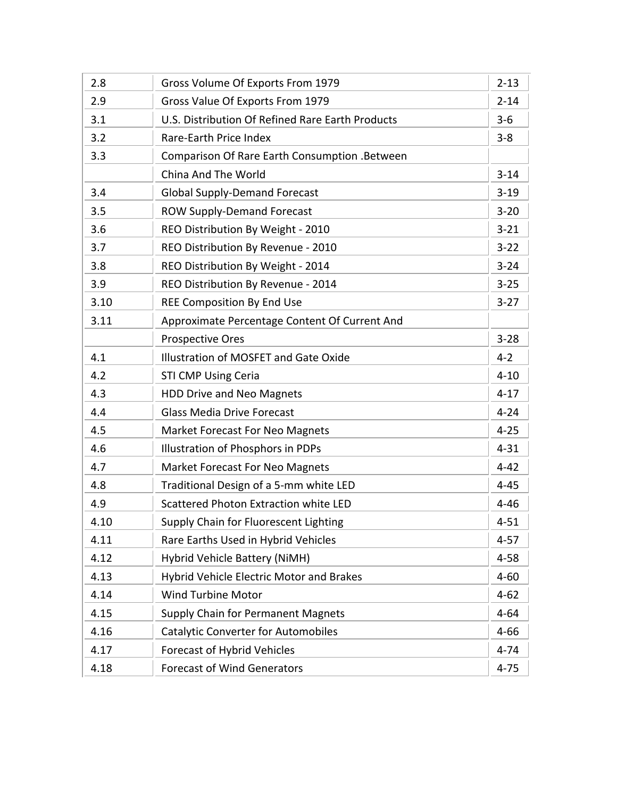| 2.8  | Gross Volume Of Exports From 1979                | $2 - 13$ |
|------|--------------------------------------------------|----------|
| 2.9  | Gross Value Of Exports From 1979                 | $2 - 14$ |
| 3.1  | U.S. Distribution Of Refined Rare Earth Products | $3 - 6$  |
| 3.2  | Rare-Earth Price Index                           | $3 - 8$  |
| 3.3  | Comparison Of Rare Earth Consumption .Between    |          |
|      | China And The World                              | $3 - 14$ |
| 3.4  | <b>Global Supply-Demand Forecast</b>             | $3-19$   |
| 3.5  | <b>ROW Supply-Demand Forecast</b>                | $3 - 20$ |
| 3.6  | REO Distribution By Weight - 2010                | $3 - 21$ |
| 3.7  | REO Distribution By Revenue - 2010               | $3 - 22$ |
| 3.8  | REO Distribution By Weight - 2014                | $3 - 24$ |
| 3.9  | REO Distribution By Revenue - 2014               | $3 - 25$ |
| 3.10 | <b>REE Composition By End Use</b>                | $3 - 27$ |
| 3.11 | Approximate Percentage Content Of Current And    |          |
|      | <b>Prospective Ores</b>                          | $3 - 28$ |
| 4.1  | Illustration of MOSFET and Gate Oxide            | $4 - 2$  |
| 4.2  | <b>STI CMP Using Ceria</b>                       | $4 - 10$ |
| 4.3  | <b>HDD Drive and Neo Magnets</b>                 | $4 - 17$ |
| 4.4  | <b>Glass Media Drive Forecast</b>                | $4 - 24$ |
| 4.5  | <b>Market Forecast For Neo Magnets</b>           | $4 - 25$ |
| 4.6  | Illustration of Phosphors in PDPs                | $4 - 31$ |
| 4.7  | <b>Market Forecast For Neo Magnets</b>           | $4 - 42$ |
| 4.8  | Traditional Design of a 5-mm white LED           | $4 - 45$ |
| 4.9  | Scattered Photon Extraction white LED            | $4 - 46$ |
| 4.10 | Supply Chain for Fluorescent Lighting            | $4 - 51$ |
| 4.11 | Rare Earths Used in Hybrid Vehicles              | $4 - 57$ |
| 4.12 | Hybrid Vehicle Battery (NiMH)                    | $4 - 58$ |
| 4.13 | <b>Hybrid Vehicle Electric Motor and Brakes</b>  | $4 - 60$ |
| 4.14 | <b>Wind Turbine Motor</b>                        | $4 - 62$ |
| 4.15 | <b>Supply Chain for Permanent Magnets</b>        | $4 - 64$ |
| 4.16 | <b>Catalytic Converter for Automobiles</b>       | $4 - 66$ |
| 4.17 | <b>Forecast of Hybrid Vehicles</b>               | $4 - 74$ |
| 4.18 | <b>Forecast of Wind Generators</b>               | $4 - 75$ |